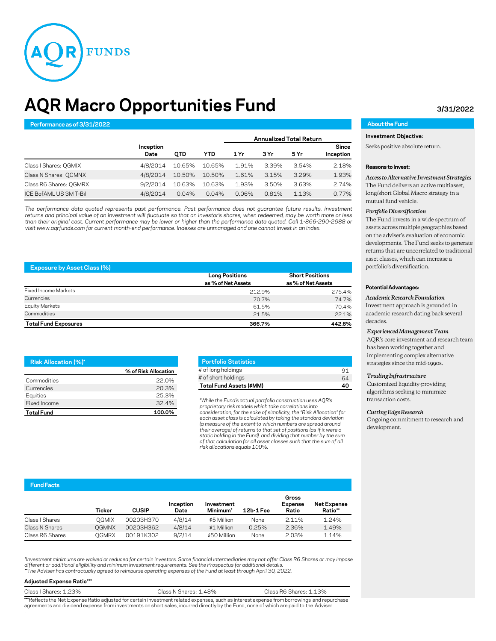

# **AQR Macro Opportunities Fund 3/31/2022**

# **Performance as of 3/31/2022 About the Fund**

|                         |                   |            |            | <b>Annualized Total Return</b> |       |       |                    |
|-------------------------|-------------------|------------|------------|--------------------------------|-------|-------|--------------------|
|                         | Inception<br>Date | <b>OTD</b> | <b>YTD</b> | 1 Yr                           | 3 Yr  | 5 Yr  | Since<br>Inception |
| Class   Shares: QGMIX   | 4/8/2014          | 10.65%     | 10.65%     | 1.91%                          | 3.39% | 3.54% | 2.18%              |
| Class N Shares: QGMNX   | 4/8/2014          | 10.50%     | 10.50%     | 1.61%                          | 3.15% | 3.29% | 1.93%              |
| Class R6 Shares: QGMRX  | 9/2/2014          | 10.63%     | 10.63%     | 1.93%                          | 3.50% | 3.63% | 2.74%              |
| ICE BofAML US 3M T-Bill | 4/8/2014          | 0.04%      | $0.04\%$   | 0.06%                          | 0.81% | 1.13% | 0.77%              |

*The performance data quoted represents past performance. Past performance does not guarantee future results. Investment* returns and principal value of an investment will fluctuate so that an investor's shares, when redeemed, may be worth more or less than their original cost. Current performance may be lower or higher than the performance data quoted. Call 1-866-290-2688 or visit www.aqrfunds.com for current month-end performance. Indexes are unmanaged and one cannot invest in an index.

| <b>Exposure by Asset Class (%)</b> |                       |                        |  |  |  |
|------------------------------------|-----------------------|------------------------|--|--|--|
|                                    | <b>Long Positions</b> | <b>Short Positions</b> |  |  |  |
|                                    | as % of Net Assets    | as % of Net Assets     |  |  |  |
| Fixed Income Markets               | 212.9%                | 275.4%                 |  |  |  |
| Currencies                         | 70.7%                 | 74.7%                  |  |  |  |
| Equity Markets                     | 61.5%                 | 70.4%                  |  |  |  |
| Commodities                        | 21.5%                 | 22.1%                  |  |  |  |
| <b>Total Fund Exposures</b>        | 366.7%                | 442.6%                 |  |  |  |

| <b>Risk Allocation (%)*</b> |                      |
|-----------------------------|----------------------|
|                             | % of Risk Allocation |
| Commodities                 | 22 0%                |
| Currencies                  | 20.3%                |
| Equities                    | 25.3%                |
| Fixed Income                | 32.4%                |
| <b>Total Fund</b>           | 100.0%               |

| O, |
|----|
| 64 |
| ∡∩ |
|    |

\**While the Fund's actual portfolio construction uses AQR's proprietary risk models which take correlations into consideration, for the sake of simplicity, the "Risk Allocation" for each asset class is calculated by taking the standard deviation (a measure of the extent to which numbers are spread around their average) of returns to that set of positions (as if it were a static holding in the Fund), and dividing that number by the sum of that calculation for all asset classes such that the sum of all risk allocations equals 100%.*

# **Investment Objective:**

Seeks positive absolute return.

#### **Reasons to Invest:**

*Access to Alternative Investment Strategies* The Fund delivers an active multiasset, long/short Global Macro strategy in a mutual fund vehicle.

## *Portfolio Diversification*

The Fund invests in a wide spectrum of assets across multiple geographies based on the adviser's evaluation of economic developments. The Fund seeks to generate returns that are uncorrelated to traditional asset classes, which can increase a portfolio's diversification.

## **Potential Advantages:**

# *Academic Research Foundation*

Investment approach is grounded in academic research dating back several decades.

# *Experienced Management Team*

AQR's core investment and research team has been working together and implementing complex alternative strategies since the mid-1990s.

#### *Trading Infrastructure*

Customized liquidity-providing algorithms seeking to minimize transaction costs.

#### *Cutting Edge Research*

Ongoing commitment to research and development.

# **Fund Facts**

|                 | Ticker | <b>CUSIP</b> | Inception<br>Date | Investment<br>Minimum* | 12b-1 Fee | Gross<br><b>Expense</b><br>Ratio | <b>Net Expense</b><br>Ratio** |
|-----------------|--------|--------------|-------------------|------------------------|-----------|----------------------------------|-------------------------------|
| Class   Shares  | OGMIX  | 00203H370    | 4/8/14            | \$5 Million            | None      | 2.11%                            | 1.24%                         |
| Class N Shares  | OGMNX  | 00203H362    | 4/8/14            | \$1 Million            | 0.25%     | 2.36%                            | 1.49%                         |
| Class R6 Shares | OGMRX  | 00191K302    | 9/2/14            | \$50 Million           | None      | 2.03%                            | 1.14%                         |

*\*Investment minimums are waived or reduced for certain investors. Some financial intermediaries may not offer Class R6 Shares or may impose*  different or additional eligibility and minimum investment requirements. See the Prospectus for additional details.<br>\*\*The Adviser has contractually agreed to reimburse operating expenses of the Fund at least through April

### **Adjusted Expense Ratio\*\*\***

| Class   Shares: 1.23% | Class N Shares: 1.48%                                                                                                                      | Class R6 Shares: 1.13% |
|-----------------------|--------------------------------------------------------------------------------------------------------------------------------------------|------------------------|
|                       | ***Reflects the Net Expense Ratio adjusted for certain investment related expenses, such as interest expense from borrowings and repurchas |                        |

\*\*Reflects the Net Expense Ratio adjusted for certain investment related expenses, such as interest expense from borrowings and repurchase<br>agreements and dividend expense from investments on short sales, incurred directly